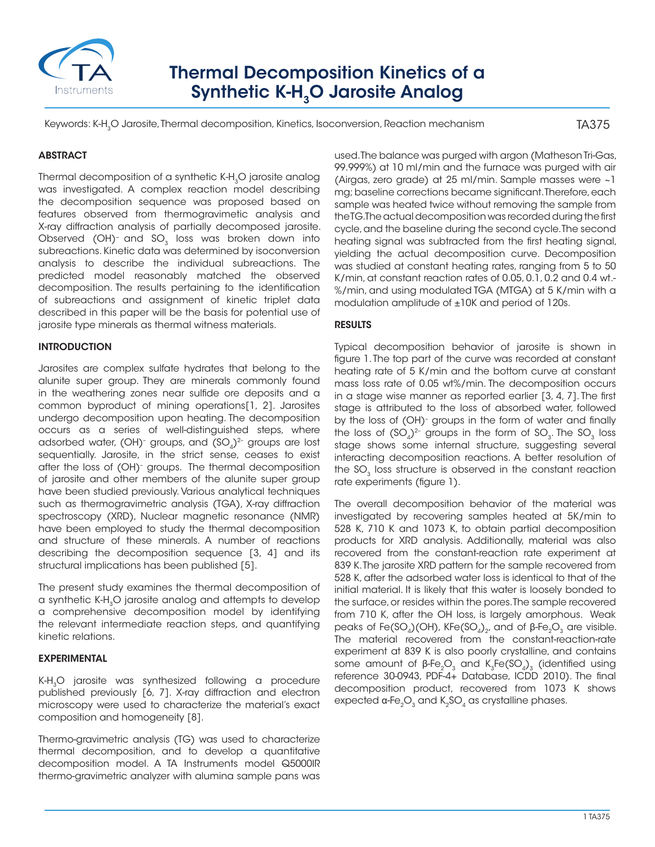

# Thermal Decomposition Kinetics of a Synthetic K-H<sub>3</sub>O Jarosite Analog

Keywords: K-H<sub>3</sub>O Jarosite, Thermal decomposition, Kinetics, Isoconversion, Reaction mechanism

TA375

## **ABSTRACT**

Thermal decomposition of a synthetic K-H<sub>3</sub>O jarosite analog was investigated. A complex reaction model describing the decomposition sequence was proposed based on features observed from thermogravimetic analysis and X-ray diffraction analysis of partially decomposed jarosite. Observed (OH)<sup>-</sup> and SO<sub>3</sub> loss was broken down into subreactions. Kinetic data was determined by isoconversion analysis to describe the individual subreactions. The predicted model reasonably matched the observed decomposition. The results pertaining to the identification of subreactions and assignment of kinetic triplet data described in this paper will be the basis for potential use of jarosite type minerals as thermal witness materials.

## INTRODUCTION

Jarosites are complex sulfate hydrates that belong to the alunite super group. They are minerals commonly found in the weathering zones near sulfide ore deposits and a common byproduct of mining operations[1, 2]. Jarosites undergo decomposition upon heating. The decomposition occurs as a series of well-distinguished steps, where adsorbed water, (OH)- groups, and  $(\mathsf{SO}_4)^{2\textrm{-}}$  groups are lost sequentially. Jarosite, in the strict sense, ceases to exist after the loss of (OH)– groups. The thermal decomposition of jarosite and other members of the alunite super group have been studied previously. Various analytical techniques such as thermogravimetric analysis (TGA), X-ray diffraction spectroscopy (XRD), Nuclear magnetic resonance (NMR) have been employed to study the thermal decomposition and structure of these minerals. A number of reactions describing the decomposition sequence [3, 4] and its structural implications has been published [5].

The present study examines the thermal decomposition of a synthetic K-H<sub>3</sub>O jarosite analog and attempts to develop a comprehensive decomposition model by identifying the relevant intermediate reaction steps, and quantifying kinetic relations.

#### EXPERIMENTAL

K-H<sub>3</sub>O jarosite was synthesized following a procedure published previously [6, 7]. X-ray diffraction and electron microscopy were used to characterize the material's exact composition and homogeneity [8].

Thermo-gravimetric analysis (TG) was used to characterize thermal decomposition, and to develop a quantitative decomposition model. A TA Instruments model Q5000IR thermo-gravimetric analyzer with alumina sample pans was

used. The balance was purged with argon (Matheson Tri-Gas, 99.999%) at 10 ml/min and the furnace was purged with air (Airgas, zero grade) at 25 ml/min. Sample masses were ~1 mg; baseline corrections became significant. Therefore, each sample was heated twice without removing the sample from the TG. The actual decomposition was recorded during the first cycle, and the baseline during the second cycle. The second heating signal was subtracted from the first heating signal, yielding the actual decomposition curve. Decomposition was studied at constant heating rates, ranging from 5 to 50 K/min, at constant reaction rates of 0.05, 0.1, 0.2 and 0.4 wt.- %/min, and using modulated TGA (MTGA) at 5 K/min with a modulation amplitude of ±10K and period of 120s.

## RESULTS

Typical decomposition behavior of jarosite is shown in figure 1. The top part of the curve was recorded at constant heating rate of 5 K/min and the bottom curve at constant mass loss rate of 0.05 wt%/min. The decomposition occurs in a stage wise manner as reported earlier [3, 4, 7]. The first stage is attributed to the loss of absorbed water, followed by the loss of (OH)<sup>-</sup> groups in the form of water and finally the loss of  $(SO<sub>A</sub>)<sup>2-</sup>$  groups in the form of  $SO<sub>3</sub>$ . The  $SO<sub>3</sub>$  loss stage shows some internal structure, suggesting several interacting decomposition reactions. A better resolution of the  $SO<sub>3</sub>$  loss structure is observed in the constant reaction rate experiments (figure 1).

The overall decomposition behavior of the material was investigated by recovering samples heated at 5K/min to 528 K, 710 K and 1073 K, to obtain partial decomposition products for XRD analysis. Additionally, material was also recovered from the constant-reaction rate experiment at 839 K. The jarosite XRD pattern for the sample recovered from 528 K, after the adsorbed water loss is identical to that of the initial material. It is likely that this water is loosely bonded to the surface, or resides within the pores. The sample recovered from 710 K, after the OH loss, is largely amorphous. Weak peaks of Fe(SO<sub>4</sub>)(OH), KFe(SO<sub>4</sub>)<sub>2</sub>, and of  $\beta$ -Fe<sub>2</sub>O<sub>3</sub> are visible. The material recovered from the constant-reaction-rate experiment at 839 K is also poorly crystalline, and contains some amount of β-Fe<sub>2</sub>O<sub>3</sub> and K<sub>3</sub>Fe(SO<sub>4</sub>)<sub>3</sub> (identified using reference 30-0943, PDF-4+ Database, ICDD 2010). The final decomposition product, recovered from 1073 K shows expected  $\alpha$ -Fe<sub>2</sub>O<sub>3</sub> and K<sub>2</sub>SO<sub>4</sub> as crystalline phases.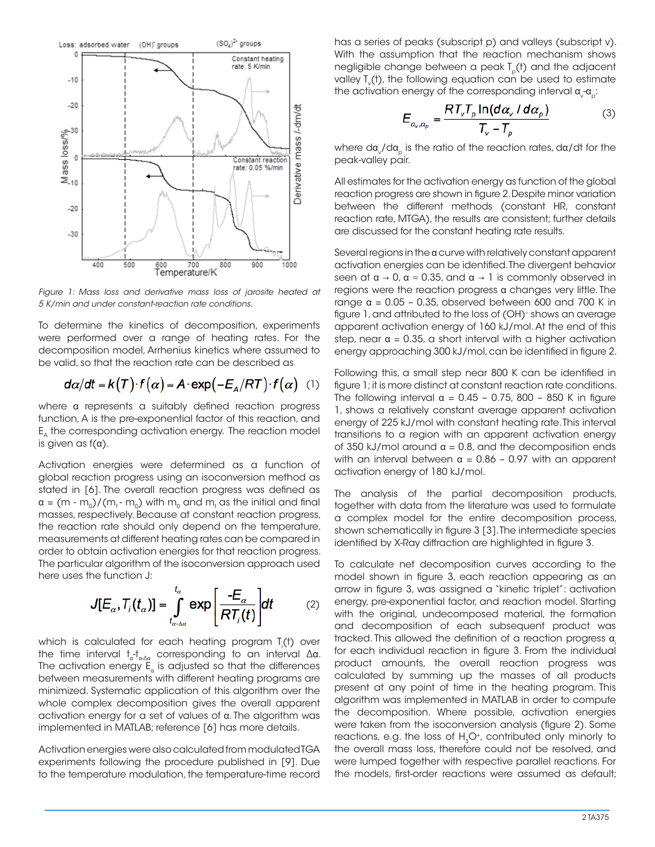

*Figure 1: Mass loss and derivative mass loss of jarosite heated at 5 K/min and under constant-reaction rate conditions.*

To determine the kinetics of decomposition, experiments were performed over a range of heating rates. For the decomposition model, Arrhenius kinetics where assumed to be valid, so that the reaction rate can be described as

$$
d\alpha/dt = k(T) \cdot f(\alpha) = A \cdot \exp(-E_A/RT) \cdot f(\alpha)
$$
 (1)

where α represents a suitably defined reaction progress function, A is the pre-exponential factor of this reaction, and E<sub>n</sub> the corresponding activation energy. The reaction model is given as  $f(\alpha)$ .

Activation energies were determined as a function of global reaction progress using an isoconversion method as stated in [6]. The overall reaction progress was defined as  $\alpha = (m - m_{_0})/(m_{_f} - m_{_0})$  with  $m_{_0}$  and  $m_{_f}$  as the initial and final masses, respectively. Because at constant reaction progress, the reaction rate should only depend on the temperature, measurements at different heating rates can be compared in order to obtain activation energies for that reaction progress. The particular algorithm of the isoconversion approach used here uses the function J:

$$
J[E_{\alpha},T_{i}(t_{\alpha})]=\int_{t_{\alpha-\Delta\alpha}}^{t_{\alpha}}exp\left[\frac{-E_{\alpha}}{RT_{i}(t)}\right]dt\qquad(2)
$$

which is calculated for each heating program  $T_{\sf i}({\sf t})$  over the time interval  $t_\alpha\hbox{-} t_{\alpha\hbox{-}\alpha\alpha}$  corresponding to an interval Δα. The activation energy  $\mathsf{E}_{_\mathrm{a}}$  is adjusted so that the differences between measurements with different heating programs are minimized. Systematic application of this algorithm over the whole complex decomposition gives the overall apparent activation energy for a set of values of α. The algorithm was implemented in MATLAB; reference [6] has more details.

Activation energies were also calculated from modulated TGA experiments following the procedure published in [9]. Due to the temperature modulation, the temperature-time record has a series of peaks (subscript p) and valleys (subscript v). With the assumption that the reaction mechanism shows negligible change between a peak  $T_{p}(t)$  and the adjacent valley  $T_{\tiny \text{v}}(\mathsf{t})$ , the following equation can be used to estimate the activation energy of the corresponding interval  $\mathsf{\alpha}_{\mathrm{\mathrm{v}}} \mathsf{\alpha}_\mathrm{\mathrm{\mathrm{p}}}\!\!$  :

$$
E_{\alpha_v, \alpha_p} = \frac{RT_vT_p \ln(d\alpha_v / d\alpha_p)}{T_v - T_p}
$$
 (3)

where da $_{\rm v}$ /da $_{\rm p}$  is the ratio of the reaction rates, da/dt for the peak-valley pair.

All estimates for the activation energy as function of the global reaction progress are shown in figure 2. Despite minor variation between the different methods (constant HR, constant reaction rate, MTGA), the results are consistent; further details are discussed for the constant heating rate results.

Several regions in the α curve with relatively constant apparent activation energies can be identified. The divergent behavior seen at  $\alpha \to 0$ ,  $\alpha \approx 0.35$ , and  $\alpha \to 1$  is commonly observed in regions were the reaction progress α changes very little. The range  $α = 0.05 - 0.35$ , observed between 600 and 700 K in figure 1, and attributed to the loss of (OH)– shows an average apparent activation energy of 160 kJ/mol. At the end of this step, near  $\alpha = 0.35$ , a short interval with a higher activation energy approaching 300 kJ/mol, can be identified in figure 2.

Following this, a small step near 800 K can be identified in figure 1; it is more distinct at constant reaction rate conditions. The following interval  $\alpha = 0.45 - 0.75$ , 800 – 850 K in figure 1, shows a relatively constant average apparent activation energy of 225 kJ/mol with constant heating rate. This interval transitions to a region with an apparent activation energy of 350 kJ/mol around  $\alpha = 0.8$ , and the decomposition ends with an interval between  $\alpha = 0.86 - 0.97$  with an apparent activation energy of 180 kJ/mol.

The analysis of the partial decomposition products, together with data from the literature was used to formulate a complex model for the entire decomposition process, shown schematically in figure 3 [3]. The intermediate species identified by X-Ray diffraction are highlighted in figure 3.

To calculate net decomposition curves according to the model shown in figure 3, each reaction appearing as an arrow in figure 3, was assigned a "kinetic triplet": activation energy, pre-exponential factor, and reaction model. Starting with the original, undecomposed material, the formation and decomposition of each subsequent product was tracked. This allowed the definition of a reaction progress  $\alpha$ for each individual reaction in figure 3. From the individual product amounts, the overall reaction progress was calculated by summing up the masses of all products present at any point of time in the heating program. This algorithm was implemented in MATLAB in order to compute the decomposition. Where possible, activation energies were taken from the isoconversion analysis (figure 2). Some reactions, e.g. the loss of H<sub>2</sub>O<sup>+</sup>, contributed only minorly to the overall mass loss, therefore could not be resolved, and were lumped together with respective parallel reactions. For the models, first-order reactions were assumed as default;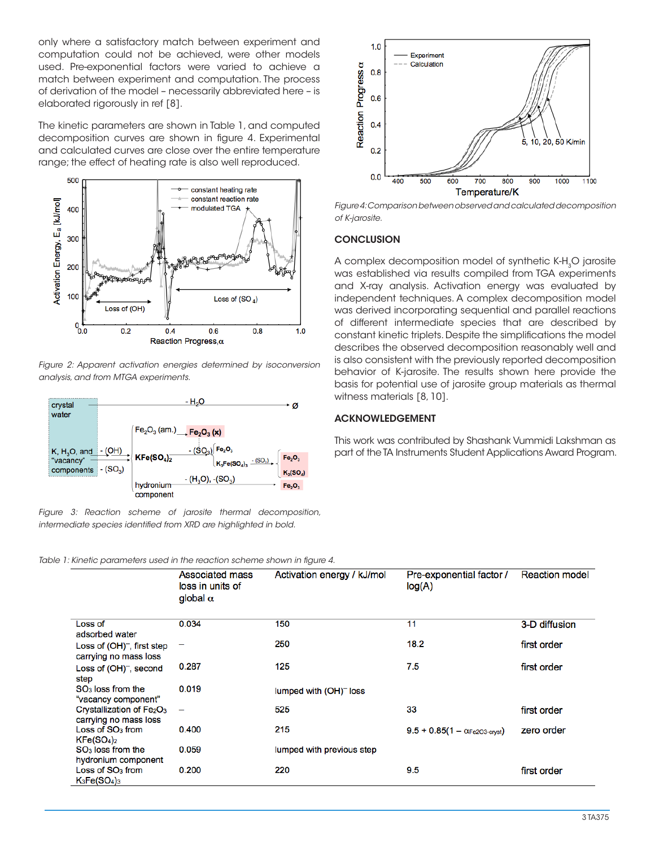only where a satisfactory match between experiment and computation could not be achieved, were other models used. Pre-exponential factors were varied to achieve a match between experiment and computation. The process of derivation of the model – necessarily abbreviated here – is elaborated rigorously in ref [8].

The kinetic parameters are shown in Table 1, and computed decomposition curves are shown in figure 4. Experimental and calculated curves are close over the entire temperature range; the effect of heating rate is also well reproduced.



*Figure 2: Apparent activation energies determined by isoconversion analysis, and from MTGA experiments.*



*Figure 3: Reaction scheme of jarosite thermal decomposition, intermediate species identified from XRD are highlighted in bold.*



*Figure 4: Comparison between observed and calculated decomposition of K-jarosite.*

## **CONCLUSION**

A complex decomposition model of synthetic K-H<sub>3</sub>O jarosite was established via results compiled from TGA experiments and X-ray analysis. Activation energy was evaluated by independent techniques. A complex decomposition model was derived incorporating sequential and parallel reactions of different intermediate species that are described by constant kinetic triplets. Despite the simplifications the model describes the observed decomposition reasonably well and is also consistent with the previously reported decomposition behavior of K-jarosite. The results shown here provide the basis for potential use of jarosite group materials as thermal witness materials [8, 10].

#### ACKNOWLEDGEMENT

This work was contributed by Shashank Vummidi Lakshman as part of the TA Instruments Student Applications Award Program.

|  | Table 1: Kinetic parameters used in the reaction scheme shown in figure 4. |  |  |  |
|--|----------------------------------------------------------------------------|--|--|--|
|  |                                                                            |  |  |  |

|                                                                            | Associated mass<br>loss in units of<br>global $\alpha$ | Activation energy / kJ/mol | Pre-exponential factor /<br>log(A)     | <b>Reaction model</b> |
|----------------------------------------------------------------------------|--------------------------------------------------------|----------------------------|----------------------------------------|-----------------------|
| Loss of                                                                    | 0.034                                                  | 150                        | 11                                     | 3-D diffusion         |
| adsorbed water                                                             |                                                        |                            |                                        |                       |
| Loss of $(OH)^{-}$ , first step<br>carrying no mass loss                   | -                                                      | 250                        | 18.2                                   | first order           |
| Loss of $(OH)^-$ , second<br>step                                          | 0.287                                                  | 125                        | 7.5                                    | first order           |
| SO <sub>3</sub> loss from the<br>"vacancy component"                       | 0.019                                                  | lumped with $(OH)^-$ loss  |                                        |                       |
| Crystallization of Fe <sub>2</sub> O <sub>3</sub><br>carrying no mass loss | $\overline{\phantom{m}}$                               | 525                        | 33                                     | first order           |
| Loss of $SO3$ from<br>KFe(SO <sub>4</sub> ) <sub>2</sub>                   | 0.400                                                  | 215                        | $9.5 + 0.85(1 - \alpha_{Fe2O3-cryst})$ | zero order            |
| $SO3$ loss from the<br>hydronium component                                 | 0.059                                                  | lumped with previous step  |                                        |                       |
| Loss of $SO3$ from<br>$K_3Fe(SO_4)_3$                                      | 0.200                                                  | 220                        | 9.5                                    | first order           |